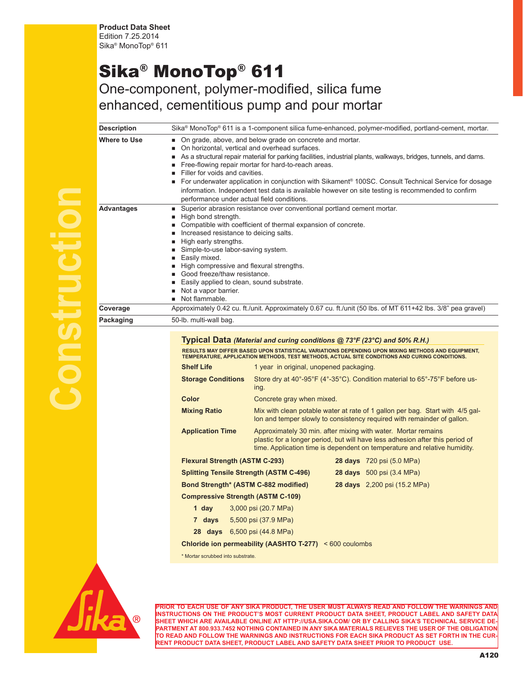## Sika® MonoTop® 611

One-component, polymer-modified, silica fume enhanced, cementitious pump and pour mortar

| Description  |                                                                                                                                                                                                                                                                                                                                                                                                                                                                                                                                                                                                                                                                                                                                                                                                                                                                                                                                                                       | Sika® MonoTop® 611 is a 1-component silica fume-enhanced, polymer-modified, portland-cement, mortar.                                                                                                                                                                                                                                                 |                                  |  |  |
|--------------|-----------------------------------------------------------------------------------------------------------------------------------------------------------------------------------------------------------------------------------------------------------------------------------------------------------------------------------------------------------------------------------------------------------------------------------------------------------------------------------------------------------------------------------------------------------------------------------------------------------------------------------------------------------------------------------------------------------------------------------------------------------------------------------------------------------------------------------------------------------------------------------------------------------------------------------------------------------------------|------------------------------------------------------------------------------------------------------------------------------------------------------------------------------------------------------------------------------------------------------------------------------------------------------------------------------------------------------|----------------------------------|--|--|
| Where to Use | • On grade, above, and below grade on concrete and mortar.<br>• On horizontal, vertical and overhead surfaces.<br>As a structural repair material for parking facilities, industrial plants, walkways, bridges, tunnels, and dams.<br>Free-flowing repair mortar for hard-to-reach areas.<br><b>Filler for voids and cavities.</b><br>For underwater application in conjunction with Sikament <sup>®</sup> 100SC. Consult Technical Service for dosage<br>information. Independent test data is available however on site testing is recommended to confirm<br>performance under actual field conditions.                                                                                                                                                                                                                                                                                                                                                             |                                                                                                                                                                                                                                                                                                                                                      |                                  |  |  |
| Advantages   | High bond strength.<br>٠<br>High early strengths.<br>■ Easily mixed.<br>Not a vapor barrier.<br>Not flammable.                                                                                                                                                                                                                                                                                                                                                                                                                                                                                                                                                                                                                                                                                                                                                                                                                                                        | ■ Superior abrasion resistance over conventional portland cement mortar.<br>■ Compatible with coefficient of thermal expansion of concrete.<br>Increased resistance to deicing salts.<br>Simple-to-use labor-saving system.<br>High compressive and flexural strengths.<br>Good freeze/thaw resistance.<br>Easily applied to clean, sound substrate. |                                  |  |  |
| Coverage     |                                                                                                                                                                                                                                                                                                                                                                                                                                                                                                                                                                                                                                                                                                                                                                                                                                                                                                                                                                       | Approximately 0.42 cu. ft./unit. Approximately 0.67 cu. ft./unit (50 lbs. of MT 611+42 lbs. 3/8" pea gravel)                                                                                                                                                                                                                                         |                                  |  |  |
| Packaging    | 50-lb. multi-wall bag.                                                                                                                                                                                                                                                                                                                                                                                                                                                                                                                                                                                                                                                                                                                                                                                                                                                                                                                                                |                                                                                                                                                                                                                                                                                                                                                      |                                  |  |  |
|              | <b>Typical Data</b> (Material and curing conditions @ 73°F (23°C) and 50% R.H.)<br>RESULTS MAY DIFFER BASED UPON STATISTICAL VARIATIONS DEPENDING UPON MIXING METHODS AND EQUIPMENT,<br>TEMPERATURE, APPLICATION METHODS, TEST METHODS, ACTUAL SITE CONDITIONS AND CURING CONDITIONS.<br><b>Shelf Life</b><br>1 year in original, unopened packaging.<br><b>Storage Conditions</b><br>Store dry at $40^{\circ}$ -95°F (4°-35°C). Condition material to 65°-75°F before us-<br>ing.<br>Color<br>Concrete gray when mixed.<br><b>Mixing Ratio</b><br>Mix with clean potable water at rate of 1 gallon per bag. Start with 4/5 gal-<br>lon and temper slowly to consistency required with remainder of gallon.<br><b>Application Time</b><br>Approximately 30 min. after mixing with water. Mortar remains<br>plastic for a longer period, but will have less adhesion after this period of<br>time. Application time is dependent on temperature and relative humidity. |                                                                                                                                                                                                                                                                                                                                                      |                                  |  |  |
|              | <b>Flexural Strength (ASTM C-293)</b>                                                                                                                                                                                                                                                                                                                                                                                                                                                                                                                                                                                                                                                                                                                                                                                                                                                                                                                                 |                                                                                                                                                                                                                                                                                                                                                      | <b>28 days</b> 720 psi (5.0 MPa) |  |  |
|              | <b>Splitting Tensile Strength (ASTM C-496)</b><br><b>28 days</b> 500 psi (3.4 MPa)<br><b>28 days</b> 2,200 psi (15.2 MPa)<br>Bond Strength* (ASTM C-882 modified)                                                                                                                                                                                                                                                                                                                                                                                                                                                                                                                                                                                                                                                                                                                                                                                                     |                                                                                                                                                                                                                                                                                                                                                      |                                  |  |  |
|              | <b>Compressive Strength (ASTM C-109)</b><br>1 day<br>7 days<br><b>28 days</b> 6,500 psi (44.8 MPa)<br>* Mortar scrubbed into substrate.                                                                                                                                                                                                                                                                                                                                                                                                                                                                                                                                                                                                                                                                                                                                                                                                                               | 3,000 psi (20.7 MPa)<br>5,500 psi (37.9 MPa)<br>Chloride ion permeability (AASHTO T-277) < 600 coulombs                                                                                                                                                                                                                                              |                                  |  |  |
|              |                                                                                                                                                                                                                                                                                                                                                                                                                                                                                                                                                                                                                                                                                                                                                                                                                                                                                                                                                                       |                                                                                                                                                                                                                                                                                                                                                      |                                  |  |  |



**Construction**

**PRIOR TO EACH USE OF ANY SIKA PRODUCT, THE USER MUST ALWAYS READ AND FOLLOW THE WARNINGS AND INSTRUCTIONS ON THE PRODUCT'S MOST CURRENT PRODUCT DATA SHEET, PRODUCT LABEL AND SAFETY DATA SHEET WHICH ARE AVAILABLE ONLINE AT HTTP://USA.SIKA.COM/ OR BY CALLING SIKA'S TECHNICAL SERVICE DE-PARTMENT AT 800.933.7452 NOTHING CONTAINED IN ANY SIKA MATERIALS RELIEVES THE USER OF THE OBLIGATION TO READ AND FOLLOW THE WARNINGS AND INSTRUCTIONS FOR EACH SIKA PRODUCT AS SET FORTH IN THE CUR-RENT PRODUCT DATA SHEET, PRODUCT LABEL AND SAFETY DATA SHEET PRIOR TO PRODUCT USE.**